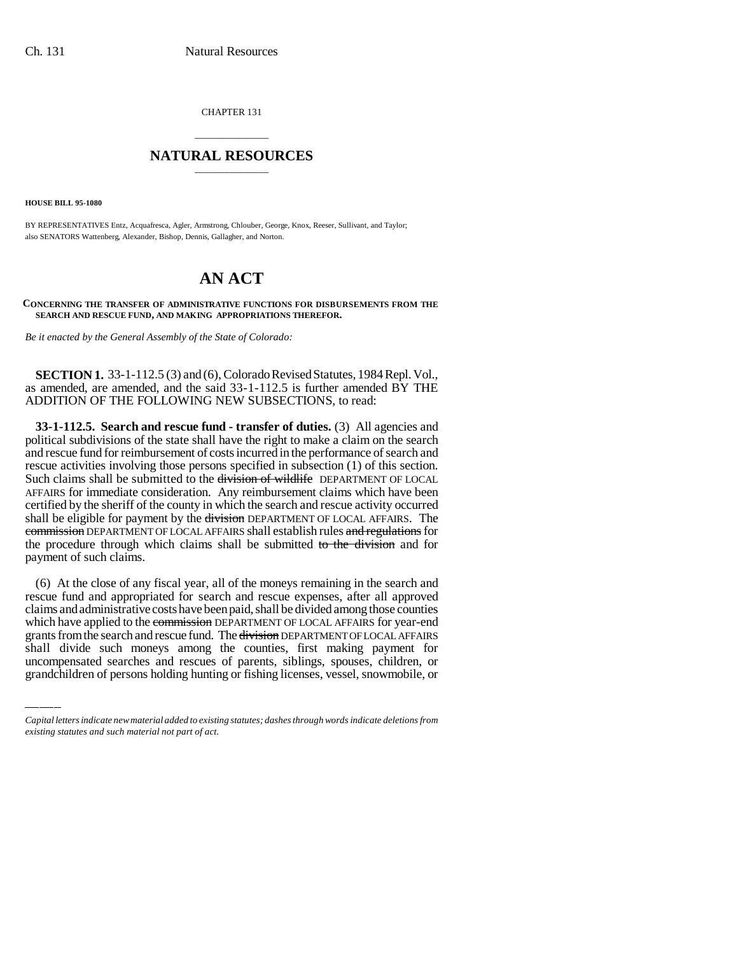CHAPTER 131

## \_\_\_\_\_\_\_\_\_\_\_\_\_\_\_ **NATURAL RESOURCES** \_\_\_\_\_\_\_\_\_\_\_\_\_\_\_

**HOUSE BILL 95-1080**

BY REPRESENTATIVES Entz, Acquafresca, Agler, Armstrong, Chlouber, George, Knox, Reeser, Sullivant, and Taylor; also SENATORS Wattenberg, Alexander, Bishop, Dennis, Gallagher, and Norton.

# **AN ACT**

#### **CONCERNING THE TRANSFER OF ADMINISTRATIVE FUNCTIONS FOR DISBURSEMENTS FROM THE SEARCH AND RESCUE FUND, AND MAKING APPROPRIATIONS THEREFOR.**

*Be it enacted by the General Assembly of the State of Colorado:*

**SECTION 1.** 33-1-112.5 (3) and (6), Colorado Revised Statutes, 1984 Repl. Vol., as amended, are amended, and the said 33-1-112.5 is further amended BY THE ADDITION OF THE FOLLOWING NEW SUBSECTIONS, to read:

**33-1-112.5. Search and rescue fund - transfer of duties.** (3) All agencies and political subdivisions of the state shall have the right to make a claim on the search and rescue fund for reimbursement of costs incurred in the performance of search and rescue activities involving those persons specified in subsection (1) of this section. Such claims shall be submitted to the division of wildlife DEPARTMENT OF LOCAL AFFAIRS for immediate consideration. Any reimbursement claims which have been certified by the sheriff of the county in which the search and rescue activity occurred shall be eligible for payment by the division DEPARTMENT OF LOCAL AFFAIRS. The commission DEPARTMENT OF LOCAL AFFAIRS shall establish rules and regulations for the procedure through which claims shall be submitted to the division and for payment of such claims.

which have applied to the commission DEPARTMENT OF LOCAL AFFAIRS for year-end (6) At the close of any fiscal year, all of the moneys remaining in the search and rescue fund and appropriated for search and rescue expenses, after all approved claims and administrative costs have been paid, shall be divided among those counties grants from the search and rescue fund. The division DEPARTMENT OF LOCAL AFFAIRS shall divide such moneys among the counties, first making payment for uncompensated searches and rescues of parents, siblings, spouses, children, or grandchildren of persons holding hunting or fishing licenses, vessel, snowmobile, or

*Capital letters indicate new material added to existing statutes; dashes through words indicate deletions from existing statutes and such material not part of act.*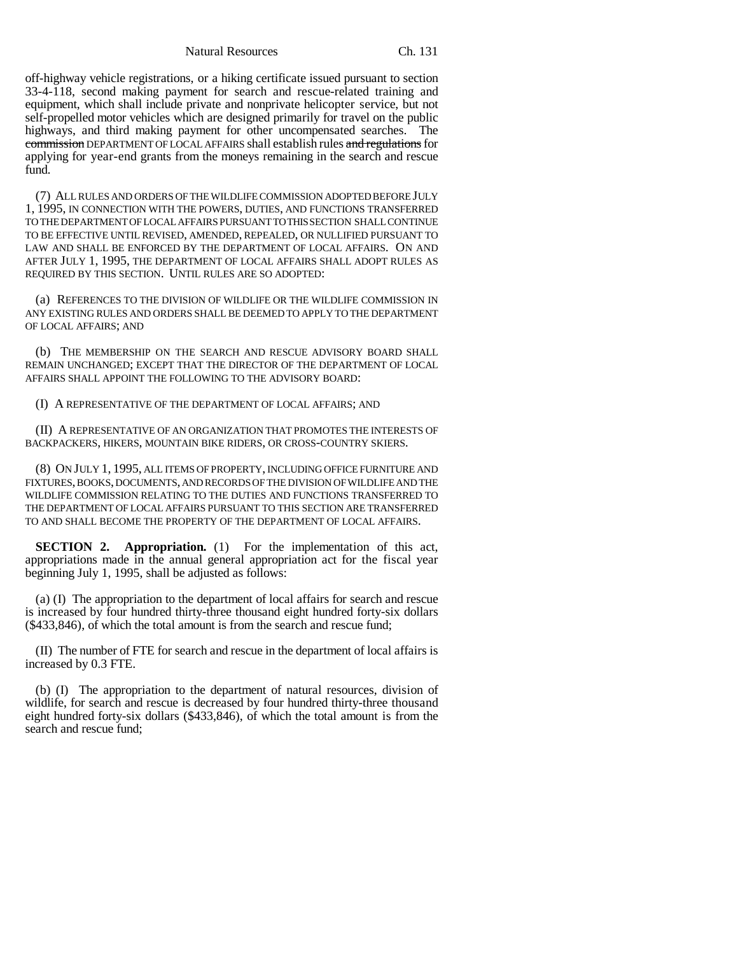Natural Resources Ch. 131

off-highway vehicle registrations, or a hiking certificate issued pursuant to section 33-4-118, second making payment for search and rescue-related training and equipment, which shall include private and nonprivate helicopter service, but not self-propelled motor vehicles which are designed primarily for travel on the public highways, and third making payment for other uncompensated searches. The commission DEPARTMENT OF LOCAL AFFAIRS shall establish rules and regulations for applying for year-end grants from the moneys remaining in the search and rescue fund.

(7) ALL RULES AND ORDERS OF THE WILDLIFE COMMISSION ADOPTED BEFORE JULY 1, 1995, IN CONNECTION WITH THE POWERS, DUTIES, AND FUNCTIONS TRANSFERRED TO THE DEPARTMENT OF LOCAL AFFAIRS PURSUANT TO THIS SECTION SHALL CONTINUE TO BE EFFECTIVE UNTIL REVISED, AMENDED, REPEALED, OR NULLIFIED PURSUANT TO LAW AND SHALL BE ENFORCED BY THE DEPARTMENT OF LOCAL AFFAIRS. ON AND AFTER JULY 1, 1995, THE DEPARTMENT OF LOCAL AFFAIRS SHALL ADOPT RULES AS REQUIRED BY THIS SECTION. UNTIL RULES ARE SO ADOPTED:

(a) REFERENCES TO THE DIVISION OF WILDLIFE OR THE WILDLIFE COMMISSION IN ANY EXISTING RULES AND ORDERS SHALL BE DEEMED TO APPLY TO THE DEPARTMENT OF LOCAL AFFAIRS; AND

(b) THE MEMBERSHIP ON THE SEARCH AND RESCUE ADVISORY BOARD SHALL REMAIN UNCHANGED; EXCEPT THAT THE DIRECTOR OF THE DEPARTMENT OF LOCAL AFFAIRS SHALL APPOINT THE FOLLOWING TO THE ADVISORY BOARD:

(I) A REPRESENTATIVE OF THE DEPARTMENT OF LOCAL AFFAIRS; AND

(II) A REPRESENTATIVE OF AN ORGANIZATION THAT PROMOTES THE INTERESTS OF BACKPACKERS, HIKERS, MOUNTAIN BIKE RIDERS, OR CROSS-COUNTRY SKIERS.

(8) ON JULY 1, 1995, ALL ITEMS OF PROPERTY, INCLUDING OFFICE FURNITURE AND FIXTURES, BOOKS, DOCUMENTS, AND RECORDS OF THE DIVISION OF WILDLIFE AND THE WILDLIFE COMMISSION RELATING TO THE DUTIES AND FUNCTIONS TRANSFERRED TO THE DEPARTMENT OF LOCAL AFFAIRS PURSUANT TO THIS SECTION ARE TRANSFERRED TO AND SHALL BECOME THE PROPERTY OF THE DEPARTMENT OF LOCAL AFFAIRS.

**SECTION 2. Appropriation.** (1) For the implementation of this act, appropriations made in the annual general appropriation act for the fiscal year beginning July 1, 1995, shall be adjusted as follows:

(a) (I) The appropriation to the department of local affairs for search and rescue is increased by four hundred thirty-three thousand eight hundred forty-six dollars (\$433,846), of which the total amount is from the search and rescue fund;

(II) The number of FTE for search and rescue in the department of local affairs is increased by 0.3 FTE.

(b) (I) The appropriation to the department of natural resources, division of wildlife, for search and rescue is decreased by four hundred thirty-three thousand eight hundred forty-six dollars (\$433,846), of which the total amount is from the search and rescue fund;